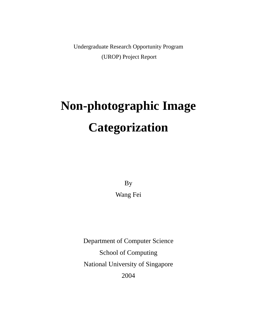Undergraduate Research Opportunity Program (UROP) Project Report

# **Non-photographic Image Categorization**

By Wang Fei

Department of Computer Science School of Computing National University of Singapore 2004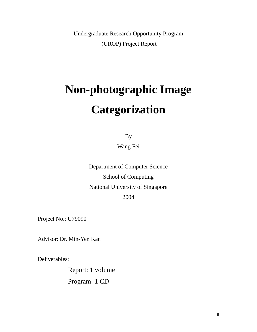Undergraduate Research Opportunity Program (UROP) Project Report

# **Non-photographic Image Categorization**

By

Wang Fei

Department of Computer Science School of Computing National University of Singapore 2004

Project No.: U79090

Advisor: Dr. Min-Yen Kan

Deliverables:

 Report: 1 volume Program: 1 CD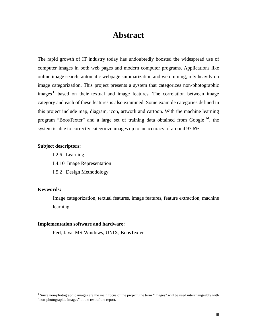# **Abstract**

The rapid growth of IT industry today has undoubtedly boosted the widespread use of computer images in both web pages and modern computer programs. Applications like online image search, automatic webpage summarization and web mining, rely heavily on image categorization. This project presents a system that categorizes non-photographic images<sup>1</sup> based on their textual and image features. The correlation between image category and each of these features is also examined. Some example categories defined in this project include map, diagram, icon, artwork and cartoon. With the machine learning program "BoosTexter" and a large set of training data obtained from Google<sup>TM</sup>, the system is able to correctly categorize images up to an accuracy of around 97.6%.

#### **Subject descriptors:**

- I.2.6 Learning
- I.4.10 Image Representation
- I.5.2 Design Methodology

#### **Keywords:**

Image categorization, textual features, image features, feature extraction, machine learning.

#### **Implementation software and hardware:**

Perl, Java, MS-Windows, UNIX, BoosTexter

 $\frac{1}{1}$  $<sup>1</sup>$  Since non-photographic images are the main focus of the project, the term "images" will be used interchangeably with</sup> "non-photographic images" in the rest of the report.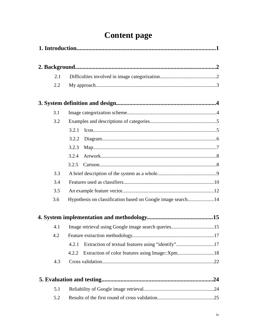# **Content page**

| 2.1 |                                                             |     |
|-----|-------------------------------------------------------------|-----|
| 2.2 |                                                             |     |
|     |                                                             |     |
| 3.1 |                                                             |     |
| 3.2 |                                                             |     |
|     | 3.2.1                                                       |     |
|     | 3.2.2                                                       |     |
|     | 3.2.3                                                       |     |
|     | 3.2.4                                                       |     |
|     | 3.2.5                                                       |     |
| 3.3 |                                                             |     |
| 3.4 |                                                             |     |
| 3.5 |                                                             |     |
| 3.6 | Hypothesis on classification based on Google image search14 |     |
|     |                                                             |     |
| 4.1 |                                                             |     |
| 4.2 |                                                             |     |
|     | Extraction of textual features using "identify"17<br>4.2.1  |     |
|     | Extraction of color features using Image::Xpm18<br>4.2.2    |     |
| 4.3 |                                                             |     |
|     |                                                             | .24 |
| 5.1 |                                                             |     |
| 5.2 |                                                             |     |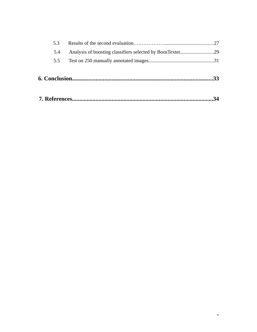| 5.3 |  |
|-----|--|
| 5.4 |  |
| 5.5 |  |
|     |  |
|     |  |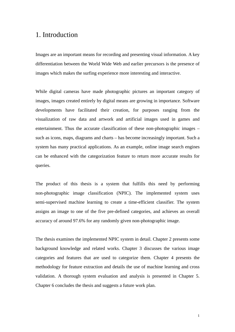# 1. Introduction

Images are an important means for recording and presenting visual information. A key differentiation between the World Wide Web and earlier precursors is the presence of images which makes the surfing experience more interesting and interactive.

While digital cameras have made photographic pictures an important category of images, images created entirely by digital means are growing in importance. Software developments have facilitated their creation, for purposes ranging from the visualization of raw data and artwork and artificial images used in games and entertainment. Thus the accurate classification of these non-photographic images – such as icons, maps, diagrams and charts – has become increasingly important. Such a system has many practical applications. As an example, online image search engines can be enhanced with the categorization feature to return more accurate results for queries.

The product of this thesis is a system that fulfills this need by performing non-photographic image classification (NPIC). The implemented system uses semi-supervised machine learning to create a time-efficient classifier. The system assigns an image to one of the five pre-defined categories, and achieves an overall accuracy of around 97.6% for any randomly given non-photographic image.

The thesis examines the implemented NPIC system in detail. Chapter 2 presents some background knowledge and related works. Chapter 3 discusses the various image categories and features that are used to categorize them. Chapter 4 presents the methodology for feature extraction and details the use of machine learning and cross validation. A thorough system evaluation and analysis is presented in Chapter 5. Chapter 6 concludes the thesis and suggests a future work plan.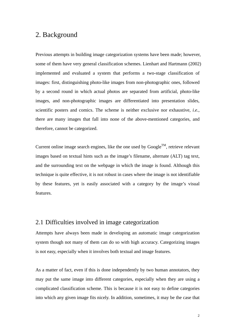# 2. Background

Previous attempts in building image categorization systems have been made; however, some of them have very general classification schemes. Lienhart and Hartmann (2002) implemented and evaluated a system that performs a two-stage classification of images: first, distinguishing photo-like images from non-photographic ones, followed by a second round in which actual photos are separated from artificial, photo-like images, and non-photographic images are differentiated into presentation slides, scientific posters and comics. The scheme is neither exclusive nor exhaustive, *i.e.*, there are many images that fall into none of the above-mentioned categories, and therefore, cannot be categorized.

Current online image search engines, like the one used by  $Google^{TM}$ , retrieve relevant images based on textual hints such as the image's filename, alternate (ALT) tag text, and the surrounding text on the webpage in which the image is found. Although this technique is quite effective, it is not robust in cases where the image is not identifiable by these features, yet is easily associated with a category by the image's visual features.

### 2.1 Difficulties involved in image categorization

Attempts have always been made in developing an automatic image categorization system though not many of them can do so with high accuracy. Categorizing images is not easy, especially when it involves both textual and image features.

As a matter of fact, even if this is done independently by two human annotators, they may put the same image into different categories, especially when they are using a complicated classification scheme. This is because it is not easy to define categories into which any given image fits nicely. In addition, sometimes, it may be the case that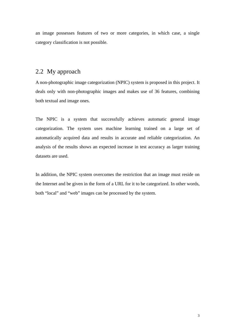an image possesses features of two or more categories, in which case, a single category classification is not possible.

### 2.2 My approach

A non-photographic image categorization (NPIC) system is proposed in this project. It deals only with non-photographic images and makes use of 36 features, combining both textual and image ones.

The NPIC is a system that successfully achieves automatic general image categorization. The system uses machine learning trained on a large set of automatically acquired data and results in accurate and reliable categorization. An analysis of the results shows an expected increase in test accuracy as larger training datasets are used.

In addition, the NPIC system overcomes the restriction that an image must reside on the Internet and be given in the form of a URL for it to be categorized. In other words, both "local" and "web" images can be processed by the system.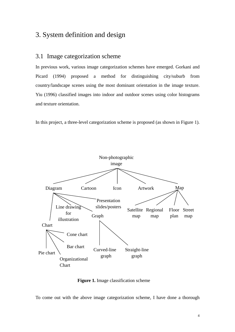# 3. System definition and design

#### 3.1 Image categorization scheme

In previous work, various image categorization schemes have emerged. Gorkani and Picard (1994) proposed a method for distinguishing city/suburb from country/landscape scenes using the most dominant orientation in the image texture. Yiu (1996) classified images into indoor and outdoor scenes using color histograms and texture orientation.

In this project, a three-level categorization scheme is proposed (as shown in Figure 1).



**Figure 1.** Image classification scheme

To come out with the above image categorization scheme, I have done a thorough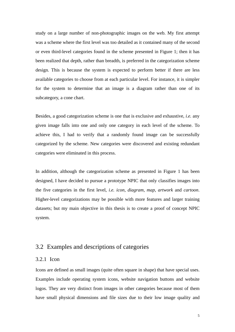study on a large number of non-photographic images on the web. My first attempt was a scheme where the first level was too detailed as it contained many of the second or even third-level categories found in the scheme presented in Figure 1; then it has been realized that depth, rather than breadth, is preferred in the categorization scheme design. This is because the system is expected to perform better if there are less available categories to choose from at each particular level. For instance, it is simpler for the system to determine that an image is a diagram rather than one of its subcategory, a cone chart.

Besides, a good categorization scheme is one that is exclusive and exhaustive, *i.e.* any given image falls into one and only one category in each level of the scheme. To achieve this, I had to verify that a randomly found image can be successfully categorized by the scheme. New categories were discovered and existing redundant categories were eliminated in this process.

In addition, although the categorization scheme as presented in Figure 1 has been designed, I have decided to pursue a prototype NPIC that only classifies images into the five categories in the first level, *i.e. icon*, *diagram*, *map*, *artwork* and *cartoon*. Higher-level categorizations may be possible with more features and larger training datasets; but my main objective in this thesis is to create a proof of concept NPIC system.

# 3.2 Examples and descriptions of categories

#### 3.2.1 Icon

Icons are defined as small images (quite often square in shape) that have special uses. Examples include operating system icons, website navigation buttons and website logos. They are very distinct from images in other categories because most of them have small physical dimensions and file sizes due to their low image quality and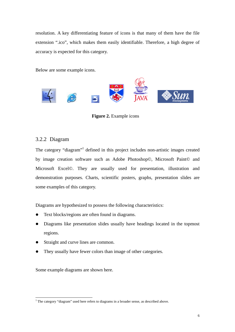resolution. A key differentiating feature of icons is that many of them have the file extension ".ico", which makes them easily identifiable. Therefore, a high degree of accuracy is expected for this category.

Below are some example icons.



**Figure 2.** Example icons

#### 3.2.2 Diagram

The category "diagram"<sup>1</sup> defined in this project includes non-artistic images created by image creation software such as Adobe Photoshop©, Microsoft Paint© and Microsoft Excel©. They are usually used for presentation, illustration and demonstration purposes. Charts, scientific posters, graphs, presentation slides are some examples of this category.

Diagrams are hypothesized to possess the following characteristics:

- Text blocks/regions are often found in diagrams.
- Diagrams like presentation slides usually have headings located in the topmost regions.
- Straight and curve lines are common.
- They usually have fewer colors than image of other categories.

Some example diagrams are shown here.

<sup>&</sup>lt;sup>1</sup> The category "diagram" used here refers to diagrams in a broader sense, as described above.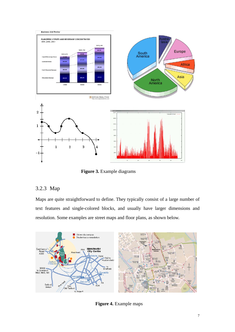

**Figure 3.** Example diagrams

#### 3.2.3 Map

Maps are quite straightforward to define. They typically consist of a large number of text features and single-colored blocks, and usually have larger dimensions and resolution. Some examples are street maps and floor plans, as shown below.



**Figure 4.** Example maps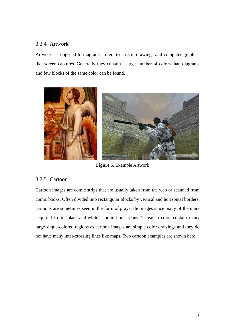#### 3.2.4 Artwork

Artwork, as opposed to diagrams, refers to artistic drawings and computer graphics like screen captures. Generally they contain a large number of colors than diagrams and few blocks of the same color can be found.



**Figure 5.** Example Artwork

#### 3.2.5 Cartoon

Cartoon images are comic strips that are usually taken from the web or scanned from comic books. Often divided into rectangular blocks by vertical and horizontal borders, cartoons are sometimes seen in the form of grayscale images since many of them are acquired from "black-and-white" comic book scans. Those in color contain many large single-colored regions as cartoon images are simple color drawings and they do not have many inter-crossing lines like maps. Two cartoon examples are shown here.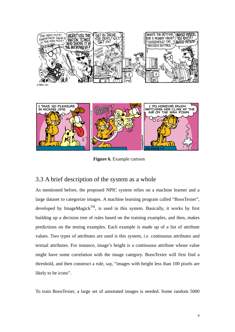



**Figure 6.** Example cartoon

# 3.3 A brief description of the system as a whole

As mentioned before, the proposed NPIC system relies on a machine learner and a large dataset to categorize images. A machine learning program called "BoosTexter", developed by ImageMagick<sup>TM</sup>, is used in this system. Basically, it works by first building up a decision tree of rules based on the training examples, and then, makes predictions on the testing examples. Each example is made up of a list of attribute values. Two types of attributes are used is this system, *i.e.* continuous attributes and textual attributes. For instance, image's height is a continuous attribute whose value might have some correlation with the image category. BoosTexter will first find a threshold, and then construct a rule, say, "images with height less than 100 pixels are likely to be icons".

To train BoosTexter, a large set of annotated images is needed. Some random 5000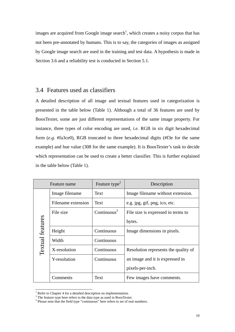images are acquired from Google image search<sup>1</sup>, which creates a noisy corpus that has not been pre-annotated by humans. This is to say, the categories of images as assigned by Google image search are used in the training and test data. A hypothesis is made in Section 3.6 and a reliability test is conducted in Section 5.1.

#### 3.4 Features used as classifiers

A detailed description of all image and textual features used in categorization is presented in the table below (Table 1). Although a total of 36 features are used by BoosTexter, some are just different representations of the same image property. For instance, three types of color encoding are used, *i.e.* RGB in six digit hexadecimal form (*e.g.* #fa3ce0), RGB truncated to three hexadecimal digits (#f3e for the same example) and hue value (308 for the same example). It is BoosTexter's task to decide which representation can be used to create a better classifier. This is further explained in the table below (Table 1).

| Feature name            |                    | Feature type <sup>2</sup> | Description                          |
|-------------------------|--------------------|---------------------------|--------------------------------------|
|                         | Image filename     | Text                      | Image filename without extension.    |
|                         | Filename extension | Text                      | e.g. jpg, gif, png, ico, etc.        |
|                         | File size          | Continuous $3$            | File size is expressed in terms to   |
| <b>Textual</b> features |                    |                           | bytes.                               |
|                         | Height             | Continuous                | Image dimensions in pixels.          |
|                         | Width              | Continuous                |                                      |
|                         | X-resolution       | Continuous                | Resolution represents the quality of |
|                         | Y-resolution       | Continuous                | an image and it is expressed in      |
|                         |                    |                           | pixels-per-inch.                     |
|                         | Comments           | Text                      | Few images have comments.            |

 $\frac{1}{1}$ 

<span id="page-14-1"></span><span id="page-14-0"></span> $1$  Refer to Chapter 4 for a detailed description on implementation.<br><sup>2</sup> The feature type here refers to the data type as used in BoosTexter.

<span id="page-14-2"></span><sup>&</sup>lt;sup>3</sup> Please note that the field type "continuous" here refers to set of real numbers.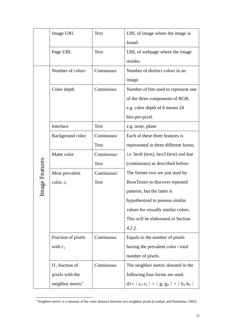|                | Image URL                    | Text        | URL of image where the image is              |
|----------------|------------------------------|-------------|----------------------------------------------|
|                |                              |             | found.                                       |
|                | Page URL                     | Text        | URL of webpage where the image               |
|                |                              |             | resides.                                     |
|                | Number of colors             | Continuous  | Number of distinct colors in an              |
|                |                              |             | image.                                       |
|                | Color depth                  | Continuous  | Number of bits used to represent one         |
|                |                              |             | of the three components of RGB,              |
|                |                              |             | e.g. color depth of 8 means 24               |
|                |                              |             | bits-per-pixel.                              |
|                | Interlace                    | Text        | e.g. none, plane                             |
|                | Background color             | Continuous/ | Each of these three features is              |
|                |                              | Text        | represented in three different forms,        |
|                | Matte color                  | Continuous/ | <i>i.e.</i> hex6 (text), hex3 (text) and hue |
|                |                              | Text        | (continuous) as described before.            |
| Image Features | Most prevalent               | Continuous/ | The former two are just used by              |
|                | color, c <sub>1</sub>        | Text        | BoosTexter to discover repeated              |
|                |                              |             | patterns, but the latter is                  |
|                |                              |             | hypothesized to possess similar              |
|                |                              |             | values for visually similar colors.          |
|                |                              |             | This will be elaborated in Section           |
|                |                              |             | 4.2.2.                                       |
|                | Fraction of pixels           | Continuous  | Equals to the number of pixels               |
|                | with $c_1$                   |             | having the prevalent color / total           |
|                |                              |             | number of pixels.                            |
|                | f1, fraction of              | Continuous  | The neighbor metric denoted in the           |
|                | pixels with the              |             | following four forms are used.               |
|                | neighbor metric <sup>1</sup> |             | $d1 =  r_1-r_2  +  g_1-g_2  +  b_1-b_2 $     |

<span id="page-15-0"></span><sup>|&</sup>lt;br>|<br>| <sup>1</sup> Neighbor metric is a measure of the color distance between two neighbor pixels (Lienhart and Hartmann, 2002).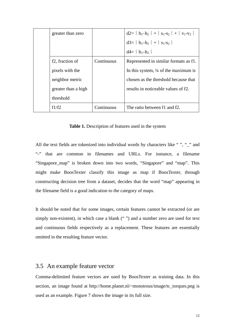| greater than zero            |            | $d2=  h_1-h_2  +  s_1-s_2  +  v_1-v_2 $         |
|------------------------------|------------|-------------------------------------------------|
|                              |            | $d3 =  h_1-h_2  +  s_1-s_2 $                    |
|                              |            | $d4 =  h_1-h_2 $                                |
| f <sub>2</sub> , fraction of | Continuous | Represented in similar formats as f1.           |
| pixels with the              |            | In this system, $\frac{1}{4}$ of the maximum is |
| neighbor metric              |            | chosen as the threshold because that            |
| greater than a high          |            | results in noticeable values of f2.             |
| threshold                    |            |                                                 |
| f1/f2                        | Continuous | The ratio between f1 and f2.                    |

**Table 1.** Description of features used in the system

All the text fields are tokenized into individual words by characters like "", " " and "-" that are common in filenames and URLs. For instance, a filename "Singapore\_map" is broken down into two words, "Singapore" and "map". This might make BoosTexter classify this image as map if BoosTexter, through constructing decision tree from a dataset, decides that the word "map" appearing in the filename field is a good indication to the category of maps.

It should be noted that for some images, certain features cannot be extracted (or are simply non-existent), in which case a blank ("") and a number zero are used for text and continuous fields respectively as a replacement. These features are essentially omitted in the resulting feature vector.

#### 3.5 An example feature vector

Comma-delimited feature vectors are used by BoosTexter as training data. In this section, an image found at http://home.planet.nl/~monstrous/image/tc\_torques.png is used as an example. Figure 7 shows the image in its full size.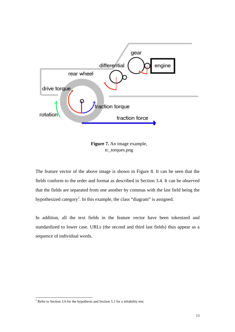

**Figure 7.** An image example, tc\_torques.png

The feature vector of the above image is shown in Figure 8. It can be seen that the fields conform to the order and format as described in Section 3.4. It can be observed that the fields are separated from one another by commas with the last field being the hypothesized category<sup>[1](#page-17-0)</sup>. In this example, the class "diagram" is assigned.

In addition, all the text fields in the feature vector have been tokenized and standardized to lower case. URLs (the second and third last fields) thus appear as a sequence of individual words.

<span id="page-17-0"></span><sup>|&</sup>lt;br>|<br>|  $1$  Refer to Section 3.6 for the hypothesis and Section 5.1 for a reliability test.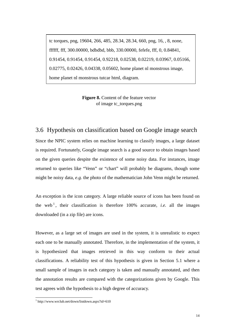tc torques, png, 19604, 266, 485, 28.34, 28.34, 660, png, 16, , 8, none, ffffff, fff, 300.00000, bdbdbd, bbb, 330.00000, fefefe, fff, 0, 0.84841, 0.91454, 0.91454, 0.91454, 0.92218, 0.02538, 0.02219, 0.03967, 0.05166, 0.02775, 0.02426, 0.04338, 0.05602, home planet nl monstrous image, home planet nl monstrous tutcar html, diagram.

> **Figure 8.** Content of the feature vector of image tc\_torques.png

#### 3.6 Hypothesis on classification based on Google image search

Since the NPIC system relies on machine learning to classify images, a large dataset is required. Fortunately, Google image search is a good source to obtain images based on the given queries despite the existence of some noisy data. For instances, image returned to queries like "Venn" or "chart" will probably be diagrams, though some might be noisy data, *e.g.* the photo of the mathematician John Venn might be returned.

An exception is the icon category. A large reliable source of icons has been found on the web<sup>[1](#page-18-0)</sup>, their classification is therefore 100% accurate, *i.e.* all the images downloaded (in a zip file) are icons.

However, as a large set of images are used in the system, it is unrealistic to expect each one to be manually annotated. Therefore, in the implementation of the system, it is hypothesized that images retrieved in this way conform to their actual classifications. A reliability test of this hypothesis is given in Section 5.1 where a small sample of images in each category is taken and manually annotated, and then the annotation results are compared with the categorizations given by Google. This test agrees with the hypothesis to a high degree of accuracy.

<span id="page-18-0"></span><sup>|&</sup>lt;br>|<br>|  $\frac{1}{1}$  http://www.wrclub.net/down/listdown.aspx?id=610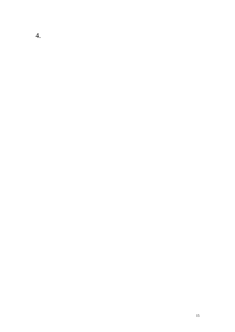4.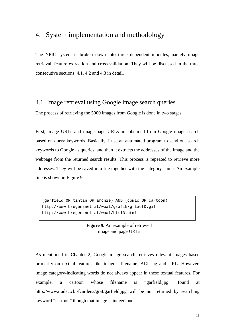# 4. System implementation and methodology

The NPIC system is broken down into three dependent modules, namely image retrieval, feature extraction and cross-validation. They will be discussed in the three consecutive sections, 4.1, 4.2 and 4.3 in detail.

# 4.1 Image retrieval using Google image search queries

The process of retrieving the 5000 images from Google is done in two stages.

First, image URLs and image page URLs are obtained from Google image search based on query keywords. Basically, I use an automated program to send out search keywords to Google as queries, and then it extracts the addresses of the image and the webpage from the returned search results. This process is repeated to retrieve more addresses. They will be saved in a file together with the category name. An example line is shown in Figure 9.

(garfield OR tintin OR archie) AND (comic OR cartoon) http://www.bregenznet.at/woal/grafik/g\_lauf0.gif http://www.bregenznet.at/woal/html3.html

#### **Figure 9.** An example of retrieved image and page URLs

As mentioned in Chapter 2, Google image search retrieves relevant images based primarily on textual features like image's filename, ALT tag and URL. However, image category-indicating words do not always appear in these textual features. For example, a cartoon whose filename is "garfield.jpg" found at http://www2.udec.cl/~fcardena/graf/garfield.jpg will be not returned by searching keyword "cartoon" though that image is indeed one.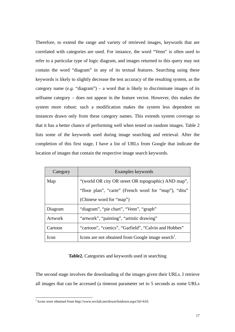Therefore, to extend the range and variety of retrieved images, keywords that are correlated with categories are used. For instance, the word "Venn" is often used to refer to a particular type of logic diagram, and images returned to this query may not contain the word "diagram" in any of its textual features. Searching using these keywords is likely to slightly decrease the test accuracy of the resulting system, as the category name  $(e.g.$  "diagram") – a word that is likely to discriminate images of its selfsame category – does not appear in the feature vector. However, this makes the system more robust: such a modification makes the system less dependent on instances drawn only from these category names. This extends system coverage so that it has a better chance of performing well when tested on random images. Table 2 lists some of the keywords used during image searching and retrieval. After the completion of this first stage, I have a list of URLs from Google that indicate the location of images that contain the respective image search keywords.

| Category | Examples keywords                                              |  |  |  |
|----------|----------------------------------------------------------------|--|--|--|
| Map      | "(world OR city OR street OR topographic) AND map",            |  |  |  |
|          | "floor plan", "carte" (French word for "map"), "ditu"          |  |  |  |
|          | (Chinese word for "map")                                       |  |  |  |
| Diagram  | "diagram", "pie chart", "Venn", "graph"                        |  |  |  |
| Artwork  | "artwork", "painting", "artistic drawing"                      |  |  |  |
| Cartoon  | "cartoon", "comics", "Garfield", "Calvin and Hobbes"           |  |  |  |
| Icon     | Icons are not obtained from Google image search <sup>1</sup> . |  |  |  |

#### **Table2.** Categories and keywords used in searching

The second stage involves the downloading of the images given their URLs. I retrieve all images that can be accessed (a timeout parameter set to 5 seconds as some URLs

<sup>|&</sup>lt;br>|<br>| <sup>1</sup> Icons were obtained from http://www.wrclub.net/down/listdown.aspx?id=610.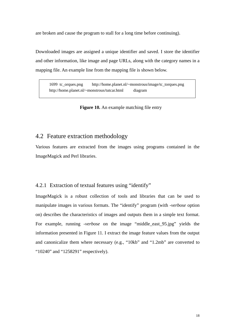are broken and cause the program to stall for a long time before continuing).

Downloaded images are assigned a unique identifier and saved. I store the identifier and other information, like image and page URLs, along with the category names in a mapping file. An example line from the mapping file is shown below.

1699 tc\_orques.png http://home.planet.nl/~monstrous/image/tc\_torques.png http://home.planet.nl/~monstrous/tutcar.html diagram

#### **Figure 10.** An example matching file entry

#### 4.2 Feature extraction methodology

Various features are extracted from the images using programs contained in the ImageMagick and Perl libraries.

#### 4.2.1 Extraction of textual features using "identify"

<span id="page-22-0"></span>ImageMagick is a robust collection of tools and librari[es](#page-22-0) that can be used to manipulate images in various formats. The "identify" program (with *-verbose* option on) describes the characteristics of images and outputs them in a simple text format. For example, running *-verbose* on the image "middle\_east\_95.jpg" yields the information presented in Figure 11. I extract the image feature values from the output and canonicalize them where necessary (e.g., "10kb" and "1.2mb" are converted to "10240" and "1258291" respectively).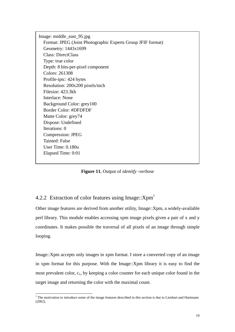Image: middle\_east\_95.jpg Format: JPEG (Joint Photographic Experts Group JFIF format) Geometry: 1443x1699 Class: DirectClass Type: true color Depth: 8 bits-per-pixel component Colors: 261308 Profile-iptc: 424 bytes Resolution: 200x200 pixels/inch Filesize: 423.3kb Interlace: None Background Color: grey100 Border Color: #DFDFDF Matte Color: grey74 Dispose: Undefined Iterations: 0 Compression: JPEG Tainted: False User Time: 0.180u Elapsed Time: 0:01

**Figure 11.** Output of *identify -verbose* 

# 4.2.2 Extraction of color features using Image:: $Xpm<sup>1</sup>$

Other image features are derived from another utility, Image::Xpm, a widely-available perl library. This module enables accessing xpm image pixels given a pair of x and y coordinates. It makes possible the traversal of all pixels of an image through simple looping.

Image::Xpm accepts only images in xpm format. I store a converted copy of an image in xpm format for this purpose. With the Image::Xpm library it is easy to find the most prevalent color,  $c_1$ , by keeping a color counter for each unique color found in the target image and returning the color with the maximal count.

 $1$ <sup>1</sup> The motivation to introduce some of the image features described in this section is due to Lienhart and Hartmann (2002).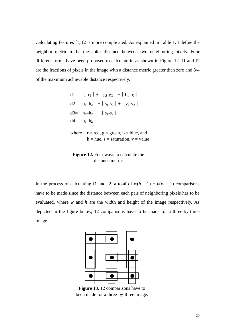Calculating features f1, f2 is more complicated. As explained in Table 1, I define the neighbor metric to be the color distance between two neighboring pixels. Four different forms have been proposed to calculate it, as shown in Figure 12. f1 and f2 are the fractions of pixels in the image with a distance metric greater than zero and 3/4 of the maximum achievable distance respectively.

```
d1=|r_1-r_2|+|g_1-g_2|+|b_1-b_2|d2=∣h<sub>1</sub>–h<sub>2</sub> | + | s_1-s_2 | + | v_1-v_2 |d3=∣h<sub>1</sub>–h<sub>2</sub> | + | s<sub>1</sub>-s<sub>2</sub> |d4=∣h_1–h_2∣
where r = red, g = green, b = blue, and
            h = hue, s = saturation, v = value
```
**Figure 12.** Four ways to calculate the distance metric

In the process of calculating f1 and f2, a total of  $w(h - 1) + h(w - 1)$  comparisons have to be made since the distance between each pair of neighboring pixels has to be evaluated, where *w* and *h* are the width and height of the image re[sp](#page-24-0)ectively. As depicted in the figure below, 12 comparisons have to be made for a three-by-three image.



<span id="page-24-0"></span>**Figure 13.** 12 comparisons have to been made for a three-by-three image.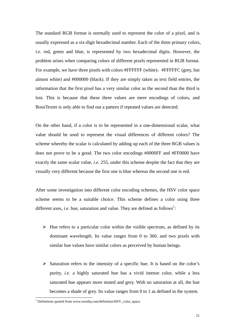The standard RGB format is normally used to represent the color of a pixel, and is usually expressed as a six-digit hexadecimal number. Each of the three primary colors, *i.e.* red, green and blue, is represented by two hexadecimal digits. However, the problem arises when comparing colors of different pixels represented in RGB format. For example, we have three pixels with colors #FFFFFF (white), #FFFFFC (grey, but almost white) and #000000 (black). If they are simply taken as text field entries, the information that the first pixel has a very similar color as the second than the third is lost. This is because that these three values are mere encodings of colors, and BoosTexter is only able to find out a pattern if repeated values are detected.

On the other hand, if a color is to be represented in a one-dimensional scalar, what value should be used to represent the visual differences of different colors? The scheme whereby the scalar is calculated by adding up each of the three RGB values is does not prove to be a good. The two color encodings #0000FF and #FF0000 have exactly the same scalar value, *i.e.* 255, under this scheme despite the fact that they are visually very different because the first one is blue whereas the second one is red.

After some investigation into different color encoding schemes, the HSV color space scheme seems to be a suitable choice. This scheme defines a color using three different axes, *i.e.* hue, saturation and value. They are defined as follows<sup>1</sup>:

- $\triangleright$  Hue refers to a particular color within the visible spectrum, as defined by its dominant wavelength. Its value ranges from 0 to 360, and two pixels with similar hue values have similar colors as perceived by human beings.
- $\triangleright$  Saturation refers to the intensity of a specific hue. It is based on the color's purity, *i.e.* a highly saturated hue has a vivid intense color, while a less saturated hue appears more muted and grey. With no saturation at all, the hue becomes a shade of grey. Its value ranges from 0 to 1 as defined in the system.

<sup>|&</sup>lt;br>|<br>|  $1$  Definitions quoted from www.wordiq.com/definition/HSV\_color\_space.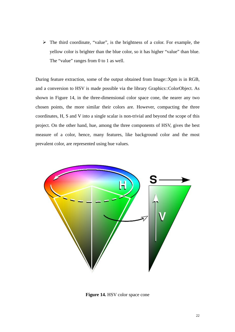$\triangleright$  The third coordinate, "value", is the brightness of a color. For example, the yellow color is brighter than the blue color, so it has higher "value" than blue. The "value" ranges from 0 to 1 as well.

During feature extraction, some of the output obtained from Image::Xpm is in RGB, and a conversion to HSV is made possible via the library Graphics::ColorObject. As shown in Figure 14, in the three-dimensional color space cone, the nearer any two chosen points, the more similar their colors are. However, compacting the three coordinates, H, S and V into a single scalar is non-trivial and beyond the scope of this project. On the other hand, hue, among the three components of HSV, gives the best measure of a color, hence, many features, like background color and the most prevalent color, are represented using hue values.



**Figure 14.** HSV color space cone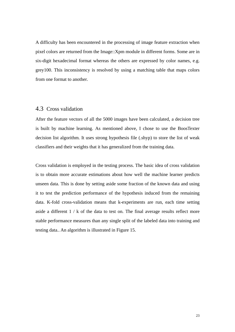A difficulty has been encountered in the processing of image feature extraction when pixel colors are returned from the Image::Xpm module in different forms. Some are in six-digit hexadecimal format whereas the others are expressed by color names, e.g. grey100. This inconsistency is resolved by using a matching table that maps colors from one format to another.

#### 4.3 Cross validation

After the feature vectors of all the 5000 images have been calculated, a decision tree is built by machine learning. As mentioned above, I chose to use the BoosTexter decision list algorithm. It uses strong hypothesis file (.shyp) to store the list of weak classifiers and their weights that it has generalized from the training data.

Cross validation is employed in the testing process. The basic idea of cross validation is to obtain more accurate estimations about how well the machine learner predicts unseen data. This is done by setting aside some fraction of the known data and using it to test the prediction performance of the hypothesis induced from the remaining data. K-fold cross-validation means that k-experiments are run, each time setting aside a different 1 / k of the data to test on. The final average results reflect more stable performance measures than any single split of the labeled data into training and testing data.. An algorithm is illustrated in Figure 15.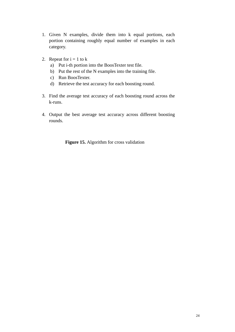- 1. Given N examples, divide them into k equal portions, each portion containing roughly equal number of examples in each category.
- 2. Repeat for  $i = 1$  to k
	- a) Put i-th portion into the BoosTexter test file.
	- b) Put the rest of the N examples into the training file.
	- c) Run BoosTexter.
	- d) Retrieve the test accuracy for each boosting round.
- 3. Find the average test accuracy of each boosting round across the k-runs.
- 4. Output the best average test accuracy across different boosting rounds.

**Figure 15.** Algorithm for cross validation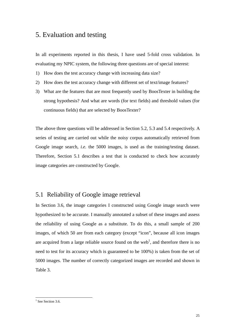# 5. Evaluation and testing

In all experiments reported in this thesis, I have used 5-fold cross validation. In evaluating my NPIC system, the following three questions are of special interest:

- 1) How does the test accuracy change with increasing data size?
- 2) How does the test accuracy change with different set of text/image features?
- 3) What are the features that are most frequently used by BoosTexter in building the strong hypothesis? And what are words (for text fields) and threshold values (for continuous fields) that are selected by BoosTexter?

The above three questions will be addressed in Section 5.2, 5.3 and 5.4 respectively. A series of testing are carried out while the noisy corpus automatically retrieved from Google image search, *i.e.* the 5000 images, is used as the training/testing dataset. Therefore, Section 5.1 describes a test that is conducted to check how accurately image categories are constructed by Google.

# 5.1 Reliability of Google image retrieval

In Section 3.6, the image categories I constructed using Google image search were hypothesized to be accurate. I manually annotated a subset of these images and assess the reliability of using Google as a substitute. To do this, a small sample of 200 images, of which 50 are from each category (except "icon", because all icon images are acquired from a large reliable source found on the web<sup>1</sup>, and therefore there is no need to test for its accuracy which is guaranteed to be 100%) is taken from the set of 5000 images. The number of correctly categorized images are recorded and shown in Table 3.

<sup>|&</sup>lt;br>|<br>|  $<sup>1</sup>$  See Section 3.6.</sup>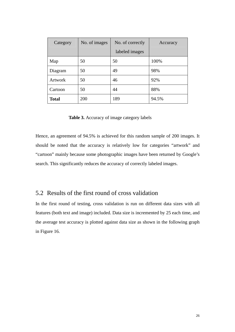| Category     | No. of images | No. of correctly | Accuracy |
|--------------|---------------|------------------|----------|
|              |               | labeled images   |          |
| Map          | 50            | 50               | 100%     |
| Diagram      | 50            | 49               | 98%      |
| Artwork      | 50            | 46               | 92%      |
| Cartoon      | 50            | 44               | 88%      |
| <b>Total</b> | 200           | 189              | 94.5%    |

**Table 3.** Accuracy of image category labels

Hence, an agreement of 94.5% is achieved for this random sample of 200 images. It should be noted that the accuracy is relatively low for categories "artwork" and "cartoon" mainly because some photographic images have been returned by Google's search. This significantly reduces the accuracy of correctly labeled images.

# 5.2 Results of the first round of cross validation

In the first round of testing, cross validation is run on different data sizes with all features (both text and image) included. Data size is incremented by 25 each time, and the average test accuracy is plotted against data size as shown in the following graph in Figure 16.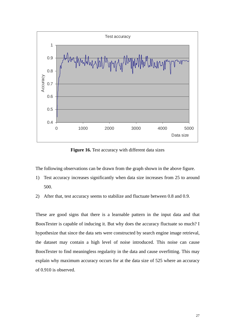

**Figure 16.** Test accuracy with different data sizes

The following observations can be drawn from the graph shown in the above figure.

- 1) Test accuracy increases significantly when data size increases from 25 to around 500.
- 2) After that, test accuracy seems to stabilize and fluctuate between 0.8 and 0.9.

These are good signs that there is a learnable pattern in the input data and that BoosTexter is capable of inducing it. But why does the accuracy fluctuate so much? I hypothesize that since the data sets were constructed by search engine image retrieval, the dataset may contain a high level of noise introduced. This noise can cause BoosTexter to find meaningless regularity in the data and cause overfitting. This may explain why maximum accuracy occurs for at the data size of 525 where an accuracy of 0.910 is observed.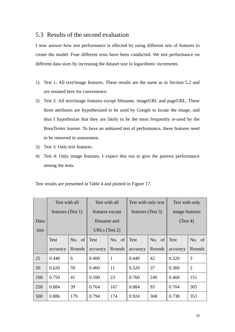# 5.3 Results of the second evaluation

I now answer how test performance is affected by using different sets of features to create the model. Four different tests have been conducted. We test performance on different data sizes by increasing the dataset size in logarithmic increments.

- 1) Test 1: All text/image features. These results are the same as in Section 5.2 and are restated here for convenience.
- 2) Test 2: All text/image features except filename, imageURL and pageURL. These three attributes are hypothesized to be used by Google to locate the image, and thus I hypothesize that they are likely to be the most frequently re-used by the BoosTexter learner. To have an unbiased test of performance, these features need to be removed in assessment.
- 3) Test 3: Only text features.
- 4) Test 4: Only image features. I expect this run to give the poorest performance among the tests.

Test results are presented in Table 4 and plotted in Figure 17.

|      | Test with all     |        | Test with all   |              | Test with only text |        | Test with only |                |
|------|-------------------|--------|-----------------|--------------|---------------------|--------|----------------|----------------|
|      | features (Test 1) |        | features except |              | features (Test 3)   |        | image features |                |
| Data |                   |        | filename and    |              |                     |        | (Test 4)       |                |
| size | URLs (Test 2)     |        |                 |              |                     |        |                |                |
|      | <b>Test</b>       | No. of | <b>Test</b>     | No. of       | Test                | No. of | <b>Test</b>    | No. of         |
|      | accuracy          | Rounds | accuracy        | Rounds       | accuracy            | Rounds | accuracy       | Rounds         |
| 25   | 0.440             | 6      | 0.400           | $\mathbf{1}$ | 0.440               | 42     | 0.320          | 3              |
| 50   | 0.620             | 59     | 0.460           | 11           | 0.520               | 37     | 0.360          | $\overline{2}$ |
| 100  | 0.750             | 41     | 0.590           | 23           | 0.760               | 240    | 0.460          | 151            |
| 250  | 0.884             | 39     | 0.764           | 167          | 0.884               | 93     | 0.704          | 305            |
| 500  | 0.886             | 179    | 0.794           | 174          | 0.924               | 368    | 0.738          | 353            |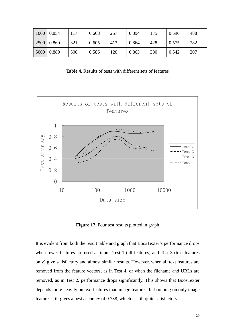|      | $1000 \mid 0.854$ | 117 | 0.668 | 257 | 0.894 | 175 | 0.596        | 488 |
|------|-------------------|-----|-------|-----|-------|-----|--------------|-----|
|      | 2500 0.860        | 321 | 0.605 | 413 | 0.864 | 428 | 0.575        | 282 |
| 5000 | 0.889             | 500 | 0.586 | 120 | 0.863 | 380 | $\mid 0.542$ | 207 |

**Table 4.** Results of tests with different sets of features



**Figure 17.** Four test results plotted in graph

It is evident from both the result table and graph that BoosTexter's performance drops when fewer features are used as input. Test 1 (all features) and Test 3 (text features only) give satisfactory and almost similar results. However, when all text features are removed from the feature vectors, as in Test 4, or when the filename and URLs are removed, as in Test 2, performance drops significantly. This shows that BoosTexter depends more heavily on text features than image features, but running on only image features still gives a best accuracy of 0.738, which is still quite satisfactory.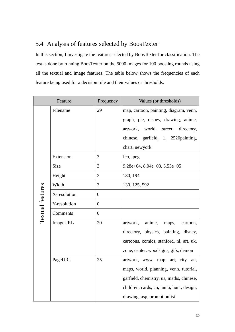# 5.4 Analysis of features selected by BoosTexter

In this section, I investigate the features selected by BoosTexter for classification. The test is done by running BoosTexter on the 5000 images for 100 boosting rounds using all the textual and image features. The table below shows the frequencies of each feature being used for a decision rule and their values or thresholds.

| Feature                 |              | Frequency        | Values (or thresholds)                   |  |
|-------------------------|--------------|------------------|------------------------------------------|--|
|                         | Filename     | 29               | map, cartoon, painting, diagram, venn,   |  |
|                         |              |                  | graph, pie, disney, drawing, anime,      |  |
|                         |              |                  | world,<br>artwork,<br>street, directory, |  |
|                         |              |                  | chinese, garfield, 1, 2520painting,      |  |
|                         |              |                  | chart, newyork                           |  |
|                         | Extension    | 3                | Ico, jpeg                                |  |
|                         | Size         | 3                | $9.28e+04$ , $8.04e+03$ , $3.53e+05$     |  |
|                         | Height       | $\overline{2}$   | 180, 194                                 |  |
|                         | Width        | 3                | 130, 125, 592                            |  |
| <b>Textual features</b> | X-resolution | $\boldsymbol{0}$ |                                          |  |
|                         | Y-resolution | $\overline{0}$   |                                          |  |
|                         | Comments     | $\overline{0}$   |                                          |  |
|                         | ImageURL     | 20               | artwork,<br>anime,<br>maps,<br>cartoon,  |  |
|                         |              |                  | directory, physics, painting, disney,    |  |
|                         |              |                  | cartoons, comics, stanford, nl, art, uk, |  |
|                         |              |                  | zone, center, woodsigns, gifs, demon     |  |
|                         | PageURL      | 25               | artwork, www, map, art, city, au,        |  |
|                         |              |                  | maps, world, planning, venn, tutorial,   |  |
|                         |              |                  | garfield, chemistry, us, maths, chinese, |  |
|                         |              |                  | children, cards, cn, tamu, hunt, design, |  |
|                         |              |                  | drawing, asp, promotionlist              |  |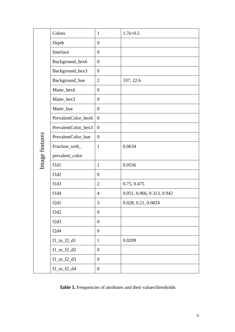|                | Colors              | $\mathbf{1}$     | $1.7e+0.5$                 |
|----------------|---------------------|------------------|----------------------------|
|                | Depth               | $\boldsymbol{0}$ |                            |
|                | Interlace           | $\boldsymbol{0}$ |                            |
|                | Background_hex6     | $\boldsymbol{0}$ |                            |
|                | Background_hex3     | $\boldsymbol{0}$ |                            |
|                | Background_hue      | $\mathbf{2}$     | 337, 22.6                  |
|                | Matte_hex6          | $\boldsymbol{0}$ |                            |
|                | Matte_hex3          | $\boldsymbol{0}$ |                            |
|                | Matte_hue           | $\boldsymbol{0}$ |                            |
|                | PrevalentColor_hex6 | $\boldsymbol{0}$ |                            |
|                | PrevalentColor_hex3 | $\boldsymbol{0}$ |                            |
| Image features | PrevalentColor_hue  | $\boldsymbol{0}$ |                            |
|                | Fraction_with_      | $\mathbf{1}$     | 0.0634                     |
|                | prevalent_color     |                  |                            |
|                | f1d1                | $\mathbf{1}$     | 0.0536                     |
|                | f1d2                | $\boldsymbol{0}$ |                            |
|                | f1d3                | $\overline{2}$   | 0.75, 0.475                |
|                | f1d4                | $\overline{4}$   | 0.051, 0.966, 0.313, 0.942 |
|                | f2d1                | 3                | 0.028, 0.21, 0.0824        |
|                | f2d2                | $\boldsymbol{0}$ |                            |
|                | f2d3                | $\boldsymbol{0}$ |                            |
|                | f2d4                | $\boldsymbol{0}$ |                            |
|                | $f1_to_f2_d1$       | $\mathbf{1}$     | 0.0209                     |
|                | $f1_to_f2_d2$       | $\boldsymbol{0}$ |                            |
|                | $f1_to_f2_d3$       | $\boldsymbol{0}$ |                            |
|                | $f1_to_f2_d4$       | $\overline{0}$   |                            |

**Table 5.** Frequencies of attributes and their values/thresholds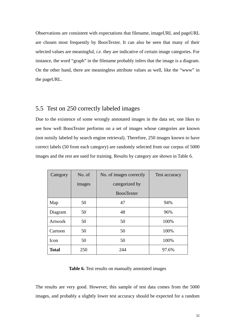Observations are consistent with expectations that filename, imageURL and pageURL are chosen most frequently by BoosTexter. It can also be seen that many of their selected values are meaningful, *i.e.* they are indicative of certain image categories. For instance, the word "graph" in the filename probably infers that the image is a diagram. On the other hand, there are meaningless attribute values as well, like the "www" in the pageURL.

#### 5.5 Test on 250 correctly labeled images

Due to the existence of some wrongly annotated images in the data set, one likes to see how well BoosTexter performs on a set of images whose categories are known (not noisily labeled by search engine retrieval). Therefore, 250 images known to have correct labels (50 from each category) are randomly selected from our corpus of 5000 images and the rest are used for training. Results by category are shown in Table 6.

| Category       | No. of | No. of images correctly | Test accuracy |
|----------------|--------|-------------------------|---------------|
|                | images | categorized by          |               |
|                |        | <b>BoosTexter</b>       |               |
| Map            | 50     | 47                      | 94%           |
| Diagram        | 50     | 48                      | 96%           |
| <b>Artwork</b> | 50     | 50                      | 100%          |
| Cartoon        | 50     | 50                      | 100%          |
| Icon           | 50     | 50                      | 100%          |
| <b>Total</b>   | 250    | 244                     | 97.6%         |

**Table 6.** Test results on manually annotated images

The results are very good. However, this sample of test data comes from the 5000 images, and probably a slightly lower test accuracy should be expected for a random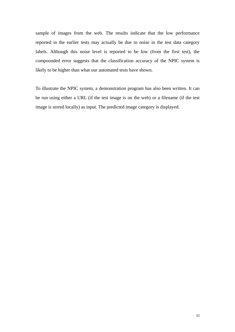sample of images from the web. The results indicate that the low performance reported in the earlier tests may actually be due to noise in the test data category labels. Although this noise level is reported to be low (from the first test), the compounded error suggests that the classification accuracy of the NPIC system is likely to be higher than what our automated tests have shown.

To illustrate the NPIC system, a demonstration program has also been written. It can be run using either a URL (if the test image is on the web) or a filename (if the test image is stored locally) as input. The predicted image category is displayed.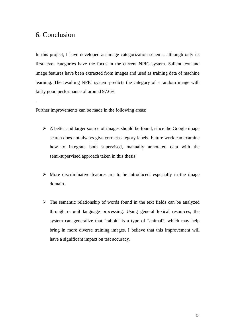# 6. Conclusion

.

In this project, I have developed an image categorization scheme, although only its first level categories have the focus in the current NPIC system. Salient text and image features have been extracted from images and used as training data of machine learning. The resulting NPIC system predicts the category of a random image with fairly good performance of around 97.6%.

Further improvements can be made in the following areas:

- $\triangleright$  A better and larger source of images should be found, since the Google image search does not always give correct category labels. Future work can examine how to integrate both supervised, manually annotated data with the semi-supervised approach taken in this thesis.
- $\triangleright$  More discriminative features are to be introduced, especially in the image domain.
- $\triangleright$  The semantic relationship of words found in the text fields can be analyzed through natural language processing. Using general lexical resources, the system can generalize that "rabbit" is a type of "animal", which may help bring in more diverse training images. I believe that this improvement will have a significant impact on test accuracy.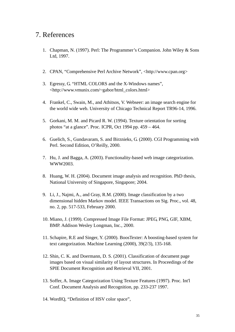# 7. References

- 1. Chapman, N. (1997). Perl: The Programmer's Companion. John Wiley & Sons Ltd, 1997.
- 2. CPAN, "Comprehensive Perl Archive Network", <http://www.cpan.org>
- 3. Egressy, G. "HTML COLORS and the X-Windows names", <http://www.vmunix.com/~gabor/html\_colors.html>
- 4. Frankel, C., Swain, M., and Athitsos, V. Webseer: an image search engine for the world wide web. University of Chicago Technical Report TR96-14, 1996.
- 5. Gorkani, M. M. and Picard R. W. (1994). Texture orientation for sorting photos "at a glance". Proc. ICPR, Oct 1994 pp. 459 – 464.
- 6. Guelich, S., Gundavaram, S. and Birznieks, G. (2000). CGI Programming with Perl. Second Edition, O'Reilly, 2000.
- 7. Hu, J. and Bagga, A. (2003). Functionality-based web image categorization. WWW2003.
- 8. Huang, W. H. (2004). Document image analysis and recognition. PhD thesis, National University of Singapore, Singapore; 2004.
- 9. Li, J., Najmi, A., and Gray, R.M. (2000). Image classification by a two dimensional hidden Markov model. IEEE Transactions on Sig. Proc., vol. 48, no. 2, pp. 517-533, February 2000.
- 10. Miano, J. (1999). Compressed Image File Format: JPEG, PNG, GIF, XBM, BMP. Addison Wesley Longman, Inc., 2000.
- 11. Schapire, R.E and Singer, Y. (2000). BoosTexter: A boosting-based system for text categorization. Machine Learning (2000), 39(2/3), 135-168.
- 12. Shin, C. K. and Doermann, D. S. (2001). Classification of document page images based on visual similarity of layout structures. In Proceedings of the SPIE Document Recognition and Retrieval VII, 2001.
- 13. Soffer, A. Image Categorization Using Texture Features (1997). Proc. Int'l Conf. Document Analysis and Recognition, pp. 233-237 1997.
- 14. WordIQ, "Definition of HSV color space",